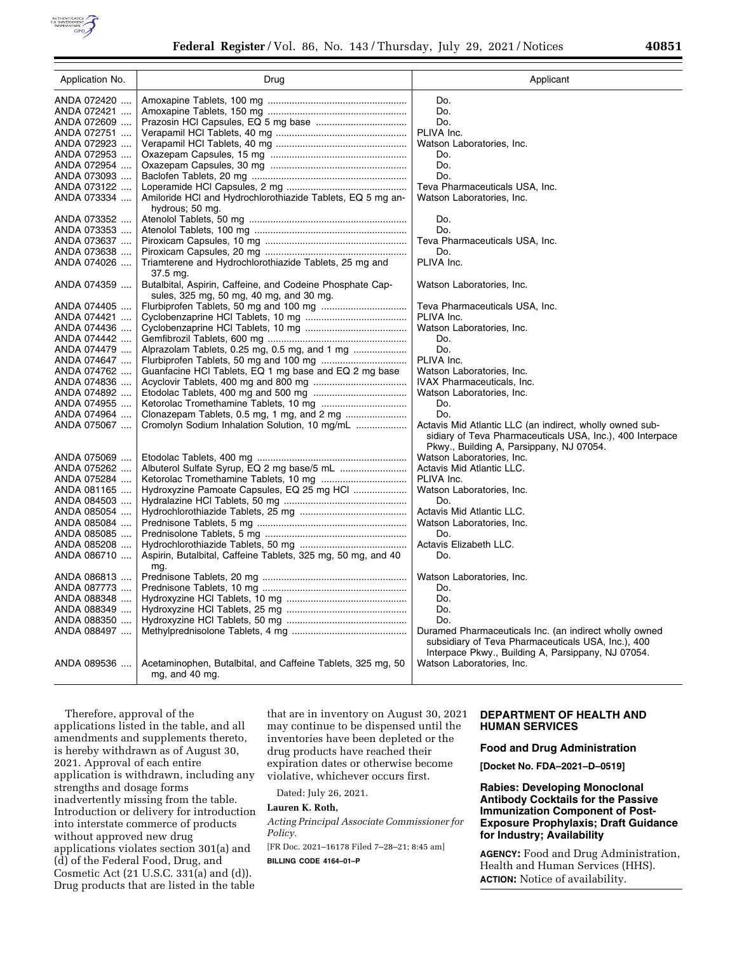

| Application No. | Drug                                                         | Applicant                                                                                                             |
|-----------------|--------------------------------------------------------------|-----------------------------------------------------------------------------------------------------------------------|
| ANDA 072420     |                                                              | Do.                                                                                                                   |
| ANDA 072421     |                                                              | Do.                                                                                                                   |
| ANDA 072609     |                                                              | Do.                                                                                                                   |
| ANDA 072751     |                                                              | PLIVA Inc.                                                                                                            |
| ANDA 072923     |                                                              | Watson Laboratories, Inc.                                                                                             |
| ANDA 072953     |                                                              | Do.                                                                                                                   |
| ANDA 072954     |                                                              | Do.                                                                                                                   |
| ANDA 073093     |                                                              | Do.                                                                                                                   |
| ANDA 073122     |                                                              | Teva Pharmaceuticals USA, Inc.                                                                                        |
| ANDA 073334     | Amiloride HCI and Hydrochlorothiazide Tablets, EQ 5 mg an-   | Watson Laboratories, Inc.                                                                                             |
|                 | hydrous; 50 mg.                                              |                                                                                                                       |
| ANDA 073352     |                                                              | Do.                                                                                                                   |
| ANDA 073353     |                                                              | Do.                                                                                                                   |
| ANDA 073637     |                                                              | Teva Pharmaceuticals USA, Inc.                                                                                        |
| ANDA 073638     |                                                              | Do.                                                                                                                   |
| ANDA 074026     | Triamterene and Hydrochlorothiazide Tablets, 25 mg and       | PLIVA Inc.                                                                                                            |
|                 | 37.5 mg.                                                     |                                                                                                                       |
| ANDA 074359     | Butalbital, Aspirin, Caffeine, and Codeine Phosphate Cap-    | Watson Laboratories, Inc.                                                                                             |
|                 | sules, 325 mg, 50 mg, 40 mg, and 30 mg.                      |                                                                                                                       |
| ANDA 074405     |                                                              | Teva Pharmaceuticals USA, Inc.                                                                                        |
| ANDA 074421     |                                                              | PLIVA Inc.                                                                                                            |
| ANDA 074436     |                                                              | Watson Laboratories, Inc.                                                                                             |
| ANDA 074442     |                                                              | Do.                                                                                                                   |
| ANDA 074479     | Alprazolam Tablets, 0.25 mg, 0.5 mg, and 1 mg                | Do.                                                                                                                   |
| ANDA 074647     |                                                              | PLIVA Inc.                                                                                                            |
| ANDA 074762     | Guanfacine HCI Tablets, EQ 1 mg base and EQ 2 mg base        | Watson Laboratories, Inc.                                                                                             |
| ANDA 074836     |                                                              | IVAX Pharmaceuticals, Inc.                                                                                            |
| ANDA 074892     |                                                              | Watson Laboratories, Inc.                                                                                             |
| ANDA 074955     |                                                              | Do.                                                                                                                   |
| ANDA 074964     | Clonazepam Tablets, 0.5 mg, 1 mg, and 2 mg                   | Do.                                                                                                                   |
| ANDA 075067     | Cromolyn Sodium Inhalation Solution, 10 mg/mL                | Actavis Mid Atlantic LLC (an indirect, wholly owned sub-<br>sidiary of Teva Pharmaceuticals USA, Inc.), 400 Interpace |
|                 |                                                              | Pkwy., Building A, Parsippany, NJ 07054.                                                                              |
| ANDA 075069     |                                                              | Watson Laboratories. Inc.                                                                                             |
| ANDA 075262     |                                                              | Actavis Mid Atlantic LLC.                                                                                             |
| ANDA 075284     |                                                              | PLIVA Inc.                                                                                                            |
| ANDA 081165     | Hydroxyzine Pamoate Capsules, EQ 25 mg HCl                   | Watson Laboratories, Inc.                                                                                             |
| ANDA 084503     |                                                              | Do.                                                                                                                   |
| ANDA 085054     |                                                              | Actavis Mid Atlantic LLC.                                                                                             |
| ANDA 085084     |                                                              | Watson Laboratories, Inc.                                                                                             |
| ANDA 085085     |                                                              | Do.                                                                                                                   |
| ANDA 085208     |                                                              | Actavis Elizabeth LLC.                                                                                                |
| ANDA 086710     | Aspirin, Butalbital, Caffeine Tablets, 325 mg, 50 mg, and 40 | Do.                                                                                                                   |
|                 | mg.                                                          |                                                                                                                       |
| ANDA 086813     |                                                              | Watson Laboratories, Inc.                                                                                             |
| ANDA 087773     |                                                              | Do.                                                                                                                   |
| ANDA 088348     |                                                              | Do.                                                                                                                   |
| ANDA 088349     |                                                              | Do.                                                                                                                   |
| ANDA 088350     |                                                              | Do.                                                                                                                   |
| ANDA 088497     |                                                              | Duramed Pharmaceuticals Inc. (an indirect wholly owned                                                                |
|                 |                                                              | subsidiary of Teva Pharmaceuticals USA, Inc.), 400                                                                    |
|                 |                                                              | Interpace Pkwy., Building A, Parsippany, NJ 07054.                                                                    |
| ANDA 089536     | Acetaminophen, Butalbital, and Caffeine Tablets, 325 mg, 50  | Watson Laboratories, Inc.                                                                                             |
|                 | mg, and 40 mg.                                               |                                                                                                                       |

Therefore, approval of the applications listed in the table, and all amendments and supplements thereto, is hereby withdrawn as of August 30, 2021. Approval of each entire application is withdrawn, including any strengths and dosage forms inadvertently missing from the table. Introduction or delivery for introduction into interstate commerce of products without approved new drug applications violates section 301(a) and (d) of the Federal Food, Drug, and Cosmetic Act (21 U.S.C. 331(a) and (d)). Drug products that are listed in the table

that are in inventory on August 30, 2021 may continue to be dispensed until the inventories have been depleted or the drug products have reached their expiration dates or otherwise become violative, whichever occurs first.

Dated: July 26, 2021.

# **Lauren K. Roth,**

*Acting Principal Associate Commissioner for Policy.* 

[FR Doc. 2021–16178 Filed 7–28–21; 8:45 am]

**BILLING CODE 4164–01–P** 

# **DEPARTMENT OF HEALTH AND HUMAN SERVICES**

## **Food and Drug Administration**

**[Docket No. FDA–2021–D–0519]** 

## **Rabies: Developing Monoclonal Antibody Cocktails for the Passive Immunization Component of Post-Exposure Prophylaxis; Draft Guidance for Industry; Availability**

**AGENCY:** Food and Drug Administration, Health and Human Services (HHS). **ACTION:** Notice of availability.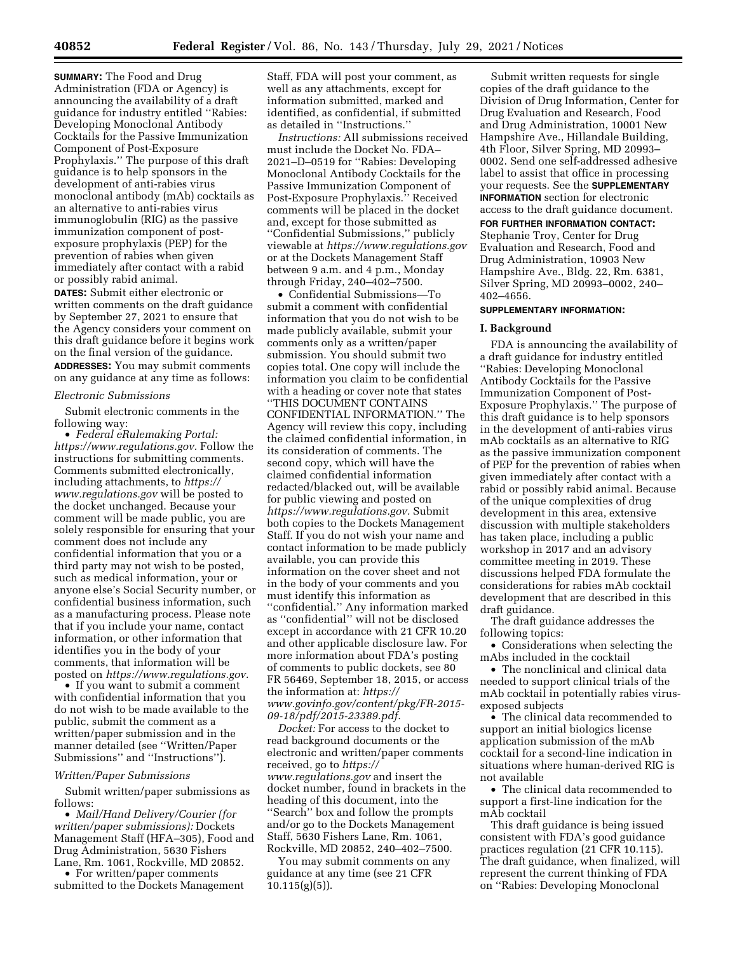**SUMMARY:** The Food and Drug Administration (FDA or Agency) is announcing the availability of a draft guidance for industry entitled ''Rabies: Developing Monoclonal Antibody Cocktails for the Passive Immunization Component of Post-Exposure Prophylaxis.'' The purpose of this draft guidance is to help sponsors in the development of anti-rabies virus monoclonal antibody (mAb) cocktails as an alternative to anti-rabies virus immunoglobulin (RIG) as the passive immunization component of postexposure prophylaxis (PEP) for the prevention of rabies when given immediately after contact with a rabid or possibly rabid animal.

**DATES:** Submit either electronic or written comments on the draft guidance by September 27, 2021 to ensure that the Agency considers your comment on this draft guidance before it begins work on the final version of the guidance.

**ADDRESSES:** You may submit comments on any guidance at any time as follows:

#### *Electronic Submissions*

Submit electronic comments in the following way:

• *Federal eRulemaking Portal: [https://www.regulations.gov.](https://www.regulations.gov)* Follow the instructions for submitting comments. Comments submitted electronically, including attachments, to *[https://](https://www.regulations.gov) [www.regulations.gov](https://www.regulations.gov)* will be posted to the docket unchanged. Because your comment will be made public, you are solely responsible for ensuring that your comment does not include any confidential information that you or a third party may not wish to be posted, such as medical information, your or anyone else's Social Security number, or confidential business information, such as a manufacturing process. Please note that if you include your name, contact information, or other information that identifies you in the body of your comments, that information will be posted on *[https://www.regulations.gov.](https://www.regulations.gov)* 

• If you want to submit a comment with confidential information that you do not wish to be made available to the public, submit the comment as a written/paper submission and in the manner detailed (see ''Written/Paper Submissions'' and ''Instructions'').

#### *Written/Paper Submissions*

Submit written/paper submissions as follows:

• *Mail/Hand Delivery/Courier (for written/paper submissions):* Dockets Management Staff (HFA–305), Food and Drug Administration, 5630 Fishers Lane, Rm. 1061, Rockville, MD 20852.

• For written/paper comments submitted to the Dockets Management

Staff, FDA will post your comment, as well as any attachments, except for information submitted, marked and identified, as confidential, if submitted as detailed in ''Instructions.''

*Instructions:* All submissions received must include the Docket No. FDA– 2021–D–0519 for ''Rabies: Developing Monoclonal Antibody Cocktails for the Passive Immunization Component of Post-Exposure Prophylaxis.'' Received comments will be placed in the docket and, except for those submitted as ''Confidential Submissions,'' publicly viewable at *<https://www.regulations.gov>* or at the Dockets Management Staff between 9 a.m. and 4 p.m., Monday through Friday, 240–402–7500.

• Confidential Submissions—To submit a comment with confidential information that you do not wish to be made publicly available, submit your comments only as a written/paper submission. You should submit two copies total. One copy will include the information you claim to be confidential with a heading or cover note that states ''THIS DOCUMENT CONTAINS CONFIDENTIAL INFORMATION.'' The Agency will review this copy, including the claimed confidential information, in its consideration of comments. The second copy, which will have the claimed confidential information redacted/blacked out, will be available for public viewing and posted on *[https://www.regulations.gov.](https://www.regulations.gov)* Submit both copies to the Dockets Management Staff. If you do not wish your name and contact information to be made publicly available, you can provide this information on the cover sheet and not in the body of your comments and you must identify this information as ''confidential.'' Any information marked as ''confidential'' will not be disclosed except in accordance with 21 CFR 10.20 and other applicable disclosure law. For more information about FDA's posting of comments to public dockets, see 80 FR 56469, September 18, 2015, or access the information at: *[https://](https://www.govinfo.gov/content/pkg/FR-2015-09-18/pdf/2015-23389.pdf) [www.govinfo.gov/content/pkg/FR-2015-](https://www.govinfo.gov/content/pkg/FR-2015-09-18/pdf/2015-23389.pdf) [09-18/pdf/2015-23389.pdf.](https://www.govinfo.gov/content/pkg/FR-2015-09-18/pdf/2015-23389.pdf)* 

*Docket:* For access to the docket to read background documents or the electronic and written/paper comments received, go to *[https://](https://www.regulations.gov) [www.regulations.gov](https://www.regulations.gov)* and insert the docket number, found in brackets in the heading of this document, into the ''Search'' box and follow the prompts and/or go to the Dockets Management Staff, 5630 Fishers Lane, Rm. 1061, Rockville, MD 20852, 240–402–7500.

You may submit comments on any guidance at any time (see 21 CFR  $10.115(g)(5)$ ).

Submit written requests for single copies of the draft guidance to the Division of Drug Information, Center for Drug Evaluation and Research, Food and Drug Administration, 10001 New Hampshire Ave., Hillandale Building, 4th Floor, Silver Spring, MD 20993– 0002. Send one self-addressed adhesive label to assist that office in processing your requests. See the **SUPPLEMENTARY INFORMATION** section for electronic access to the draft guidance document.

**FOR FURTHER INFORMATION CONTACT:**  Stephanie Troy, Center for Drug Evaluation and Research, Food and Drug Administration, 10903 New Hampshire Ave., Bldg. 22, Rm. 6381, Silver Spring, MD 20993–0002, 240– 402–4656.

#### **SUPPLEMENTARY INFORMATION:**

#### **I. Background**

FDA is announcing the availability of a draft guidance for industry entitled ''Rabies: Developing Monoclonal Antibody Cocktails for the Passive Immunization Component of Post-Exposure Prophylaxis.'' The purpose of this draft guidance is to help sponsors in the development of anti-rabies virus mAb cocktails as an alternative to RIG as the passive immunization component of PEP for the prevention of rabies when given immediately after contact with a rabid or possibly rabid animal. Because of the unique complexities of drug development in this area, extensive discussion with multiple stakeholders has taken place, including a public workshop in 2017 and an advisory committee meeting in 2019. These discussions helped FDA formulate the considerations for rabies mAb cocktail development that are described in this draft guidance.

The draft guidance addresses the following topics:

• Considerations when selecting the mAbs included in the cocktail

• The nonclinical and clinical data needed to support clinical trials of the mAb cocktail in potentially rabies virusexposed subjects

• The clinical data recommended to support an initial biologics license application submission of the mAb cocktail for a second-line indication in situations where human-derived RIG is not available

• The clinical data recommended to support a first-line indication for the mAb cocktail

This draft guidance is being issued consistent with FDA's good guidance practices regulation (21 CFR 10.115). The draft guidance, when finalized, will represent the current thinking of FDA on ''Rabies: Developing Monoclonal